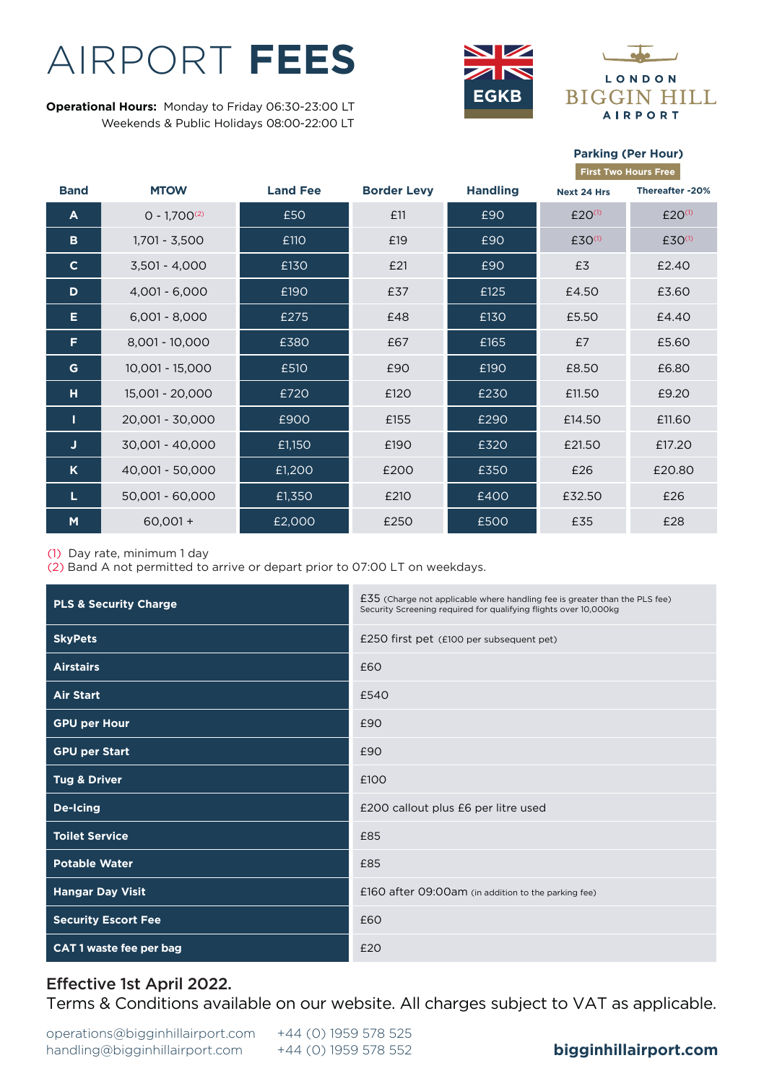# AIRPORT **FEES**

**EGKB Operational Hours:** Monday to Friday 06:30-23:00 LT Weekends & Public Holidays 08:00-22:00 LT



**Parking (Per Hour)**

|              |                   |                 |                    |                 |                    | <b>First Two Hours Free</b> |
|--------------|-------------------|-----------------|--------------------|-----------------|--------------------|-----------------------------|
| <b>Band</b>  | <b>MTOW</b>       | <b>Land Fee</b> | <b>Border Levy</b> | <b>Handling</b> | Next 24 Hrs        | Thereafter -20%             |
| A            | $0 - 1.700^{(2)}$ | £50             | £11                | £90             | £20 <sup>(1)</sup> | £20 <sup>(1)</sup>          |
| в            | 1,701 - 3,500     | £110            | £19                | £90             | £30 <sup>(1)</sup> | £30 <sup>(1)</sup>          |
| $\mathbf{C}$ | $3,501 - 4,000$   | £130            | £21                | £90             | £3                 | £2.40                       |
| D            | $4.001 - 6.000$   | £190            | £37                | £125            | £4.50              | £3.60                       |
| Е            | $6,001 - 8,000$   | £275            | £48                | £130            | £5.50              | £4.40                       |
| Е            | $8,001 - 10,000$  | £380            | £67                | £165            | £7                 | £5.60                       |
| G            | $10,001 - 15,000$ | £510            | £90                | £190            | £8.50              | £6.80                       |
| н            | 15,001 - 20,000   | £720            | £120               | £230            | £11.50             | £9.20                       |
| т            | 20,001 - 30,000   | £900            | £155               | £290            | £14.50             | £11.60                      |
| J            | 30,001 - 40,000   | £1,150          | £190               | £320            | £21.50             | £17.20                      |
| K            | 40.001 - 50.000   | £1,200          | £200               | £350            | £26                | £20.80                      |
| L            | 50,001 - 60,000   | £1,350          | £210               | £400            | £32.50             | £26                         |
| M            | $60,001 +$        | £2,000          | £250               | £500            | £35                | £28                         |

(1) Day rate, minimum 1 day

(2) Band A not permitted to arrive or depart prior to 07:00 LT on weekdays.

| <b>PLS &amp; Security Charge</b> | £35 (Charge not applicable where handling fee is greater than the PLS fee)<br>Security Screening required for qualifying flights over 10,000kg |  |  |
|----------------------------------|------------------------------------------------------------------------------------------------------------------------------------------------|--|--|
| <b>SkyPets</b>                   | £250 first pet (£100 per subsequent pet)                                                                                                       |  |  |
| <b>Airstairs</b>                 | £60                                                                                                                                            |  |  |
| <b>Air Start</b>                 | £540                                                                                                                                           |  |  |
| <b>GPU per Hour</b>              | £90                                                                                                                                            |  |  |
| <b>GPU per Start</b>             | £90                                                                                                                                            |  |  |
| Tug & Driver                     | £100                                                                                                                                           |  |  |
| De-Icing                         | £200 callout plus £6 per litre used                                                                                                            |  |  |
| <b>Toilet Service</b>            | £85                                                                                                                                            |  |  |
| <b>Potable Water</b>             | £85                                                                                                                                            |  |  |
| <b>Hangar Day Visit</b>          | £160 after 09:00am (in addition to the parking fee)                                                                                            |  |  |
| <b>Security Escort Fee</b>       | £60                                                                                                                                            |  |  |
| CAT 1 waste fee per bag          | £20                                                                                                                                            |  |  |

## Effective 1st April 2022.

Terms & Conditions available on our website. All charges subject to VAT as applicable.